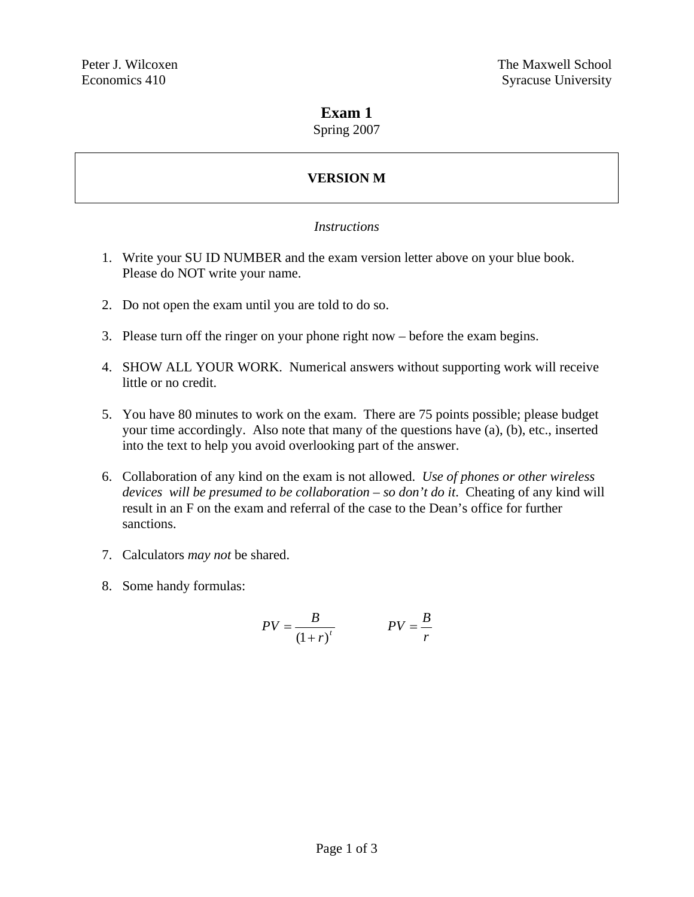#### **Exam 1**

Spring 2007

# **VERSION M**

#### *Instructions*

- 1. Write your SU ID NUMBER and the exam version letter above on your blue book. Please do NOT write your name.
- 2. Do not open the exam until you are told to do so.
- 3. Please turn off the ringer on your phone right now before the exam begins.
- 4. SHOW ALL YOUR WORK. Numerical answers without supporting work will receive little or no credit.
- 5. You have 80 minutes to work on the exam. There are 75 points possible; please budget your time accordingly. Also note that many of the questions have (a), (b), etc., inserted into the text to help you avoid overlooking part of the answer.
- 6. Collaboration of any kind on the exam is not allowed. *Use of phones or other wireless devices will be presumed to be collaboration – so don't do it*. Cheating of any kind will result in an F on the exam and referral of the case to the Dean's office for further sanctions.
- 7. Calculators *may not* be shared.
- 8. Some handy formulas:

$$
PV = \frac{B}{\left(1+r\right)^{t}} \qquad PV = \frac{B}{r}
$$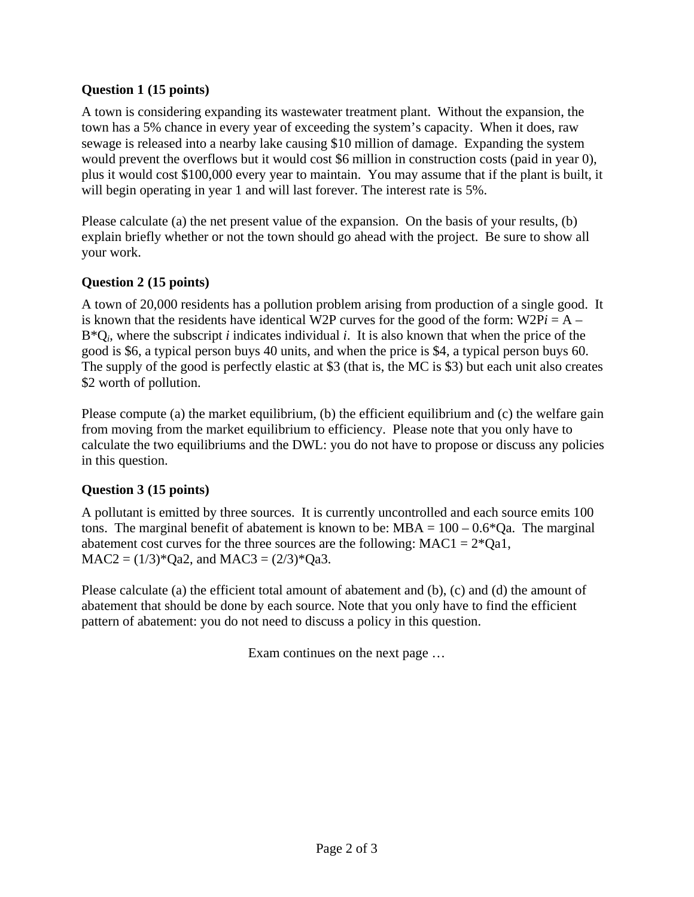### **Question 1 (15 points)**

A town is considering expanding its wastewater treatment plant. Without the expansion, the town has a 5% chance in every year of exceeding the system's capacity. When it does, raw sewage is released into a nearby lake causing \$10 million of damage. Expanding the system would prevent the overflows but it would cost \$6 million in construction costs (paid in year 0), plus it would cost \$100,000 every year to maintain. You may assume that if the plant is built, it will begin operating in year 1 and will last forever. The interest rate is 5%.

Please calculate (a) the net present value of the expansion. On the basis of your results, (b) explain briefly whether or not the town should go ahead with the project. Be sure to show all your work.

### **Question 2 (15 points)**

A town of 20,000 residents has a pollution problem arising from production of a single good. It is known that the residents have identical W2P curves for the good of the form:  $W2Pi = A B^*Q_i$ , where the subscript *i* indicates individual *i*. It is also known that when the price of the good is \$6, a typical person buys 40 units, and when the price is \$4, a typical person buys 60. The supply of the good is perfectly elastic at \$3 (that is, the MC is \$3) but each unit also creates \$2 worth of pollution.

Please compute (a) the market equilibrium, (b) the efficient equilibrium and (c) the welfare gain from moving from the market equilibrium to efficiency. Please note that you only have to calculate the two equilibriums and the DWL: you do not have to propose or discuss any policies in this question.

## **Question 3 (15 points)**

A pollutant is emitted by three sources. It is currently uncontrolled and each source emits 100 tons. The marginal benefit of abatement is known to be: MBA =  $100 - 0.6 \times$ Qa. The marginal abatement cost curves for the three sources are the following:  $MAC1 = 2*Qa1$ ,  $MAC2 = (1/3)*Qa2$ , and  $MAC3 = (2/3)*Qa3$ .

Please calculate (a) the efficient total amount of abatement and (b), (c) and (d) the amount of abatement that should be done by each source. Note that you only have to find the efficient pattern of abatement: you do not need to discuss a policy in this question.

Exam continues on the next page …